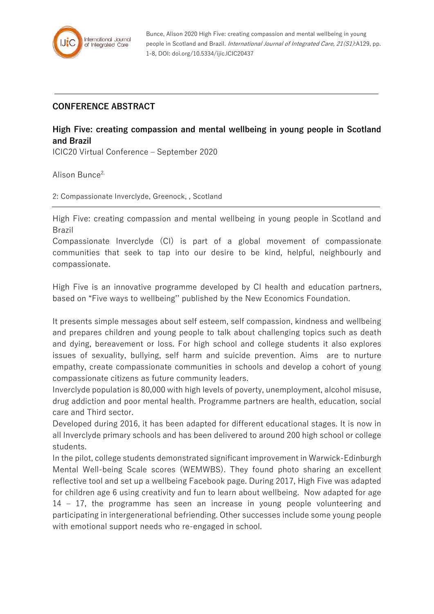

Bunce, Alison 2020 High Five: creating compassion and mental wellbeing in young people in Scotland and Brazil. International Journal of Integrated Care, 21(S1):A129, pp. 1-8, DOI: doi.org/10.5334/ijic.ICIC20437

## **CONFERENCE ABSTRACT**

## **High Five: creating compassion and mental wellbeing in young people in Scotland and Brazil**

ICIC20 Virtual Conference – September 2020

Alison Bunce<sup>2,</sup>

2: Compassionate Inverclyde, Greenock, , Scotland

High Five: creating compassion and mental wellbeing in young people in Scotland and Brazil

Compassionate Inverclyde (CI) is part of a global movement of compassionate communities that seek to tap into our desire to be kind, helpful, neighbourly and compassionate.

High Five is an innovative programme developed by CI health and education partners, based on "Five ways to wellbeing'' published by the New Economics Foundation.

It presents simple messages about self esteem, self compassion, kindness and wellbeing and prepares children and young people to talk about challenging topics such as death and dying, bereavement or loss. For high school and college students it also explores issues of sexuality, bullying, self harm and suicide prevention. Aims are to nurture empathy, create compassionate communities in schools and develop a cohort of young compassionate citizens as future community leaders.

Inverclyde population is 80,000 with high levels of poverty, unemployment, alcohol misuse, drug addiction and poor mental health. Programme partners are health, education, social care and Third sector.

Developed during 2016, it has been adapted for different educational stages. It is now in all Inverclyde primary schools and has been delivered to around 200 high school or college students.

In the pilot, college students demonstrated significant improvement in Warwick-Edinburgh Mental Well-being Scale scores (WEMWBS). They found photo sharing an excellent reflective tool and set up a wellbeing Facebook page. During 2017, High Five was adapted for children age 6 using creativity and fun to learn about wellbeing. Now adapted for age 14 – 17, the programme has seen an increase in young people volunteering and participating in intergenerational befriending. Other successes include some young people with emotional support needs who re-engaged in school.